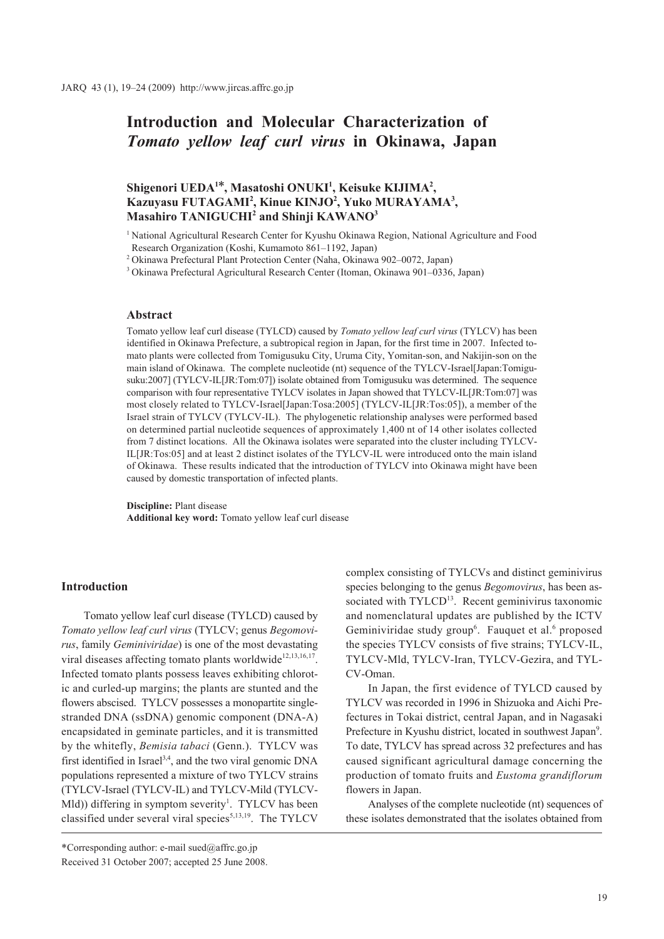# **Introduction and Molecular Characterization of**  *Tomato yellow leaf curl virus* **in Okinawa, Japan**

# Shigenori UEDA<sup>1\*</sup>, Masatoshi ONUKI<sup>1</sup>, Keisuke KIJIMA<sup>2</sup>, **Kazuyasu FUTAGAMI2 , Kinue KINJO2 , Yuko MURAYAMA3 , Masahiro TANIGUCHI2 and Shinji KAWANO3**

1 National Agricultural Research Center for Kyushu Okinawa Region, National Agriculture and Food Research Organization (Koshi, Kumamoto 861–1192, Japan)

2 Okinawa Prefectural Plant Protection Center (Naha, Okinawa 902–0072, Japan)

3 Okinawa Prefectural Agricultural Research Center (Itoman, Okinawa 901–0336, Japan)

### **Abstract**

Tomato yellow leaf curl disease (TYLCD) caused by *Tomato yellow leaf curl virus* (TYLCV) has been identified in Okinawa Prefecture, a subtropical region in Japan, for the first time in 2007. Infected tomato plants were collected from Tomigusuku City, Uruma City, Yomitan-son, and Nakijin-son on the main island of Okinawa. The complete nucleotide (nt) sequence of the TYLCV-Israel[Japan:Tomigusuku:2007] (TYLCV-IL[JR:Tom:07]) isolate obtained from Tomigusuku was determined. The sequence comparison with four representative TYLCV isolates in Japan showed that TYLCV-IL[JR:Tom:07] was most closely related to TYLCV-Israel[Japan:Tosa:2005] (TYLCV-IL[JR:Tos:05]), a member of the Israel strain of TYLCV (TYLCV-IL). The phylogenetic relationship analyses were performed based on determined partial nucleotide sequences of approximately 1,400 nt of 14 other isolates collected from 7 distinct locations. All the Okinawa isolates were separated into the cluster including TYLCV-IL[JR:Tos:05] and at least 2 distinct isolates of the TYLCV-IL were introduced onto the main island of Okinawa. These results indicated that the introduction of TYLCV into Okinawa might have been caused by domestic transportation of infected plants.

**Discipline:** Plant disease **Additional key word:** Tomato yellow leaf curl disease

#### **Introduction**

Tomato yellow leaf curl disease (TYLCD) caused by *Tomato yellow leaf curl virus* (TYLCV; genus *Begomovirus*, family *Geminiviridae*) is one of the most devastating viral diseases affecting tomato plants worldwide<sup>12,13,16,17</sup>. Infected tomato plants possess leaves exhibiting chlorotic and curled-up margins; the plants are stunted and the flowers abscised. TYLCV possesses a monopartite singlestranded DNA (ssDNA) genomic component (DNA-A) encapsidated in geminate particles, and it is transmitted by the whitefly, *Bemisia tabaci* (Genn.). TYLCV was first identified in Israel<sup>3,4</sup>, and the two viral genomic DNA populations represented a mixture of two TYLCV strains (TYLCV-Israel (TYLCV-IL) and TYLCV-Mild (TYLCV-Mld)) differing in symptom severity<sup>1</sup>. TYLCV has been classified under several viral species<sup>5,13,19</sup>. The TYLCV

complex consisting of TYLCVs and distinct geminivirus species belonging to the genus *Begomovirus*, has been associated with TYLCD<sup>13</sup>. Recent geminivirus taxonomic and nomenclatural updates are published by the ICTV Geminiviridae study group<sup>6</sup>. Fauquet et al.<sup>6</sup> proposed the species TYLCV consists of five strains; TYLCV-IL, TYLCV-Mld, TYLCV-Iran, TYLCV-Gezira, and TYL-CV-Oman.

In Japan, the first evidence of TYLCD caused by TYLCV was recorded in 1996 in Shizuoka and Aichi Prefectures in Tokai district, central Japan, and in Nagasaki Prefecture in Kyushu district, located in southwest Japan<sup>9</sup>. To date, TYLCV has spread across 32 prefectures and has caused significant agricultural damage concerning the production of tomato fruits and *Eustoma grandiflorum* flowers in Japan.

Analyses of the complete nucleotide (nt) sequences of these isolates demonstrated that the isolates obtained from

<sup>\*</sup>Corresponding author: e-mail sued@affrc.go.jp Received 31 October 2007; accepted 25 June 2008.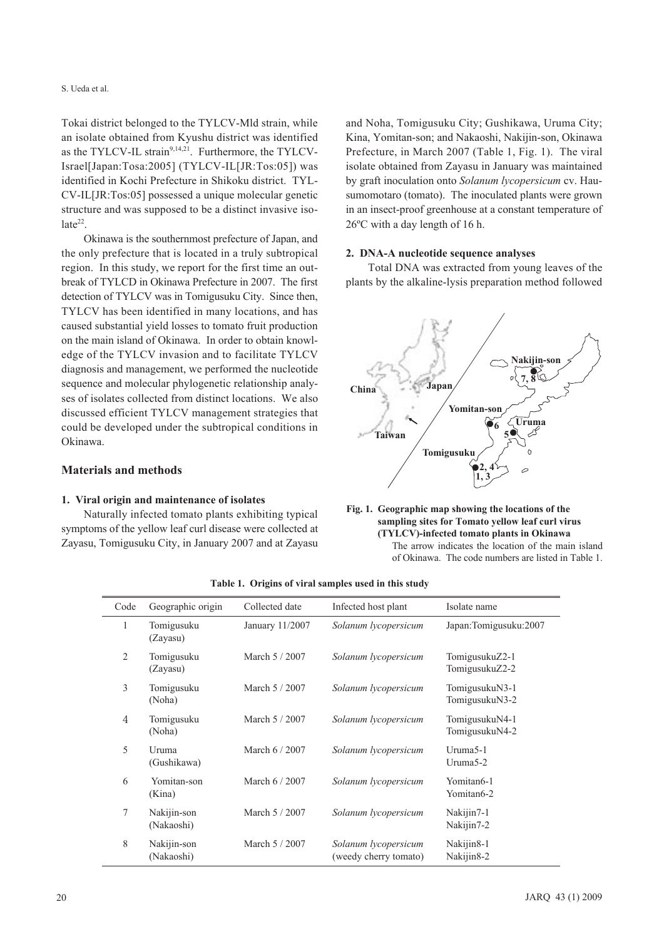Tokai district belonged to the TYLCV-Mld strain, while an isolate obtained from Kyushu district was identified as the TYLCV-IL strain $9,14,21$ . Furthermore, the TYLCV-Israel[Japan:Tosa:2005] (TYLCV-IL[JR:Tos:05]) was identified in Kochi Prefecture in Shikoku district. TYL-CV-IL[JR:Tos:05] possessed a unique molecular genetic structure and was supposed to be a distinct invasive iso $late^{22}$ .

Okinawa is the southernmost prefecture of Japan, and the only prefecture that is located in a truly subtropical region. In this study, we report for the first time an outbreak of TYLCD in Okinawa Prefecture in 2007. The first detection of TYLCV was in Tomigusuku City. Since then, TYLCV has been identified in many locations, and has caused substantial yield losses to tomato fruit production on the main island of Okinawa. In order to obtain knowledge of the TYLCV invasion and to facilitate TYLCV diagnosis and management, we performed the nucleotide sequence and molecular phylogenetic relationship analyses of isolates collected from distinct locations. We also discussed efficient TYLCV management strategies that could be developed under the subtropical conditions in Okinawa.

# **Materials and methods**

#### **1. Viral origin and maintenance of isolates**

Naturally infected tomato plants exhibiting typical symptoms of the yellow leaf curl disease were collected at Zayasu, Tomigusuku City, in January 2007 and at Zayasu

and Noha, Tomigusuku City; Gushikawa, Uruma City; Kina, Yomitan-son; and Nakaoshi, Nakijin-son, Okinawa Prefecture, in March 2007 (Table 1, Fig. 1). The viral isolate obtained from Zayasu in January was maintained by graft inoculation onto *Solanum lycopersicum* cv. Hausumomotaro (tomato). The inoculated plants were grown in an insect-proof greenhouse at a constant temperature of 26ºC with a day length of 16 h.

#### **2. DNA-A nucleotide sequence analyses**

Total DNA was extracted from young leaves of the plants by the alkaline-lysis preparation method followed





| Code           | Geographic origin         | Collected date  | Infected host plant                           | Isolate name                     |
|----------------|---------------------------|-----------------|-----------------------------------------------|----------------------------------|
| 1              | Tomigusuku<br>(Zayasu)    | January 11/2007 | Solanum lycopersicum                          | Japan:Tomigusuku:2007            |
| 2              | Tomigusuku<br>(Zayasu)    | March 5 / 2007  | Solanum lycopersicum                          | TomigusukuZ2-1<br>TomigusukuZ2-2 |
| 3              | Tomigusuku<br>(Noha)      | March 5 / 2007  | Solanum lycopersicum                          | TomigusukuN3-1<br>TomigusukuN3-2 |
| $\overline{4}$ | Tomigusuku<br>(Noha)      | March 5 / 2007  | Solanum lycopersicum                          | TomigusukuN4-1<br>TomigusukuN4-2 |
| 5              | Uruma<br>(Gushikawa)      | March 6 / 2007  | Solanum lycopersicum                          | Uruma5-1<br>Uruma $5-2$          |
| 6              | Yomitan-son<br>(Kina)     | March 6 / 2007  | Solanum lycopersicum                          | Yomitan6-1<br>Yomitan6-2         |
| 7              | Nakijin-son<br>(Nakaoshi) | March 5 / 2007  | Solanum lycopersicum                          | Nakijin7-1<br>Nakijin7-2         |
| 8              | Nakijin-son<br>(Nakaoshi) | March 5 / 2007  | Solanum lycopersicum<br>(weedy cherry tomato) | Nakijin8-1<br>Nakijin8-2         |

**Table 1. Origins of viral samples used in this study**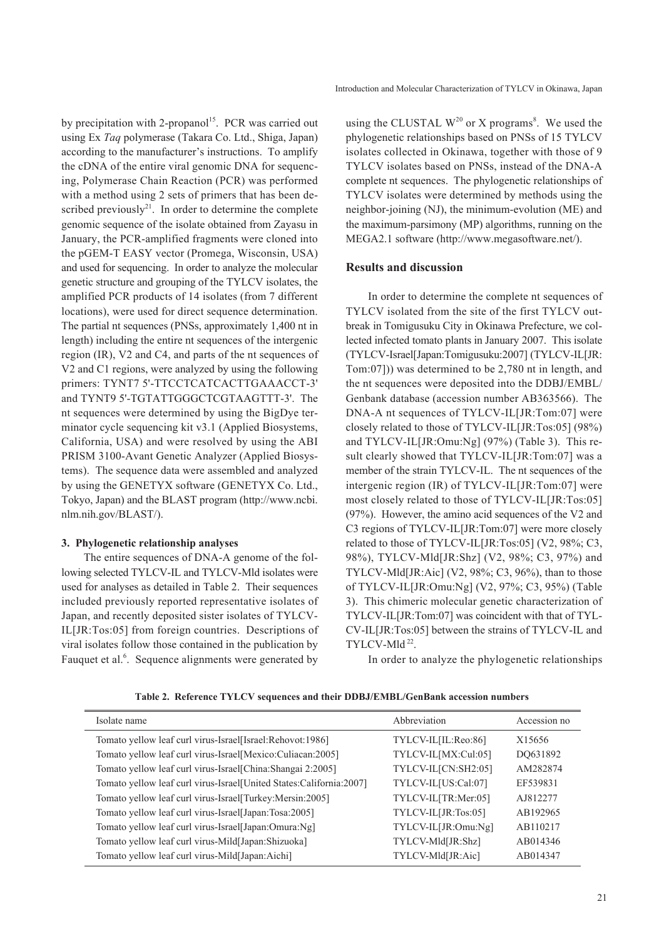by precipitation with 2-propanol<sup>15</sup>. PCR was carried out using Ex *Taq* polymerase (Takara Co. Ltd., Shiga, Japan) according to the manufacturer's instructions. To amplify the cDNA of the entire viral genomic DNA for sequencing, Polymerase Chain Reaction (PCR) was performed with a method using 2 sets of primers that has been described previously<sup>21</sup>. In order to determine the complete genomic sequence of the isolate obtained from Zayasu in January, the PCR-amplified fragments were cloned into the pGEM-T EASY vector (Promega, Wisconsin, USA) and used for sequencing. In order to analyze the molecular genetic structure and grouping of the TYLCV isolates, the amplified PCR products of 14 isolates (from 7 different locations), were used for direct sequence determination. The partial nt sequences (PNSs, approximately 1,400 nt in length) including the entire nt sequences of the intergenic region (IR), V2 and C4, and parts of the nt sequences of V2 and C1 regions, were analyzed by using the following primers: TYNT7 5'-TTCCTCATCACTTGAAACCT-3' and TYNT9 5'-TGTATTGGGCTCGTAAGTTT-3'. The nt sequences were determined by using the BigDye terminator cycle sequencing kit v3.1 (Applied Biosystems, California, USA) and were resolved by using the ABI PRISM 3100-Avant Genetic Analyzer (Applied Biosystems). The sequence data were assembled and analyzed by using the GENETYX software (GENETYX Co. Ltd., Tokyo, Japan) and the BLAST program (http://www.ncbi. nlm.nih.gov/BLAST/).

#### **3. Phylogenetic relationship analyses**

The entire sequences of DNA-A genome of the following selected TYLCV-IL and TYLCV-Mld isolates were used for analyses as detailed in Table 2. Their sequences included previously reported representative isolates of Japan, and recently deposited sister isolates of TYLCV-IL[JR:Tos:05] from foreign countries. Descriptions of viral isolates follow those contained in the publication by Fauquet et al.<sup>6</sup>. Sequence alignments were generated by

using the CLUSTAL  $W^{20}$  or X programs<sup>8</sup>. We used the phylogenetic relationships based on PNSs of 15 TYLCV isolates collected in Okinawa, together with those of 9 TYLCV isolates based on PNSs, instead of the DNA-A complete nt sequences. The phylogenetic relationships of TYLCV isolates were determined by methods using the neighbor-joining (NJ), the minimum-evolution (ME) and the maximum-parsimony (MP) algorithms, running on the MEGA2.1 software (http://www.megasoftware.net/).

## **Results and discussion**

In order to determine the complete nt sequences of TYLCV isolated from the site of the first TYLCV outbreak in Tomigusuku City in Okinawa Prefecture, we collected infected tomato plants in January 2007. This isolate (TYLCV-Israel[Japan:Tomigusuku:2007] (TYLCV-IL[JR: Tom:07])) was determined to be 2,780 nt in length, and the nt sequences were deposited into the DDBJ/EMBL/ Genbank database (accession number AB363566). The DNA-A nt sequences of TYLCV-IL[JR:Tom:07] were closely related to those of TYLCV-IL[JR:Tos:05] (98%) and TYLCV-IL[JR:Omu:Ng] (97%) (Table 3). This result clearly showed that TYLCV-IL[JR:Tom:07] was a member of the strain TYLCV-IL. The nt sequences of the intergenic region (IR) of TYLCV-IL[JR:Tom:07] were most closely related to those of TYLCV-IL[JR:Tos:05] (97%). However, the amino acid sequences of the V2 and C3 regions of TYLCV-IL[JR:Tom:07] were more closely related to those of TYLCV-IL[JR:Tos:05] (V2, 98%; C3, 98%), TYLCV-Mld[JR:Shz] (V2, 98%; C3, 97%) and TYLCV-Mld[JR:Aic] (V2,  $98\%$ ; C3,  $96\%$ ), than to those of TYLCV-IL[JR:Omu:Ng] (V2, 97%; C3, 95%) (Table 3). This chimeric molecular genetic characterization of TYLCV-IL[JR:Tom:07] was coincident with that of TYL-CV-IL[JR:Tos:05] between the strains of TYLCV-IL and TYLCV-Mld<sup>22</sup>.

In order to analyze the phylogenetic relationships

**Table 2. Reference TYLCV sequences and their DDBJ/EMBL/GenBank accession numbers**

| Isolate name                                                        | Abbreviation        | Accession no |
|---------------------------------------------------------------------|---------------------|--------------|
| Tomato yellow leaf curl virus-Israel[Israel:Rehovot:1986]           | TYLCV-IL[IL:Reo:86] | X15656       |
| Tomato yellow leaf curl virus-Israel[Mexico:Culiacan:2005]          | TYLCV-IL[MX:Cul:05] | DO631892     |
| Tomato yellow leaf curl virus-Israel[China:Shangai 2:2005]          | TYLCV-IL[CN:SH2:05] | AM282874     |
| Tomato yellow leaf curl virus-Israel[United States:California:2007] | TYLCV-IL[US:Cal:07] | EF539831     |
| Tomato yellow leaf curl virus-Israel[Turkey:Mersin:2005]            | TYLCV-IL[TR:Mer:05] | AJ812277     |
| Tomato yellow leaf curl virus-Israel[Japan:Tosa:2005]               | TYLCV-IL[JR:Tos:05] | AB192965     |
| Tomato yellow leaf curl virus-Israel[Japan:Omura:Ng]                | TYLCV-IL[JR:Omu:Ng] | AB110217     |
| Tomato yellow leaf curl virus-Mild[Japan:Shizuoka]                  | TYLCV-Mld[JR:Shz]   | AB014346     |
| Tomato yellow leaf curl virus-Mild[Japan:Aichi]                     | TYLCV-Mld[JR:Aic]   | AB014347     |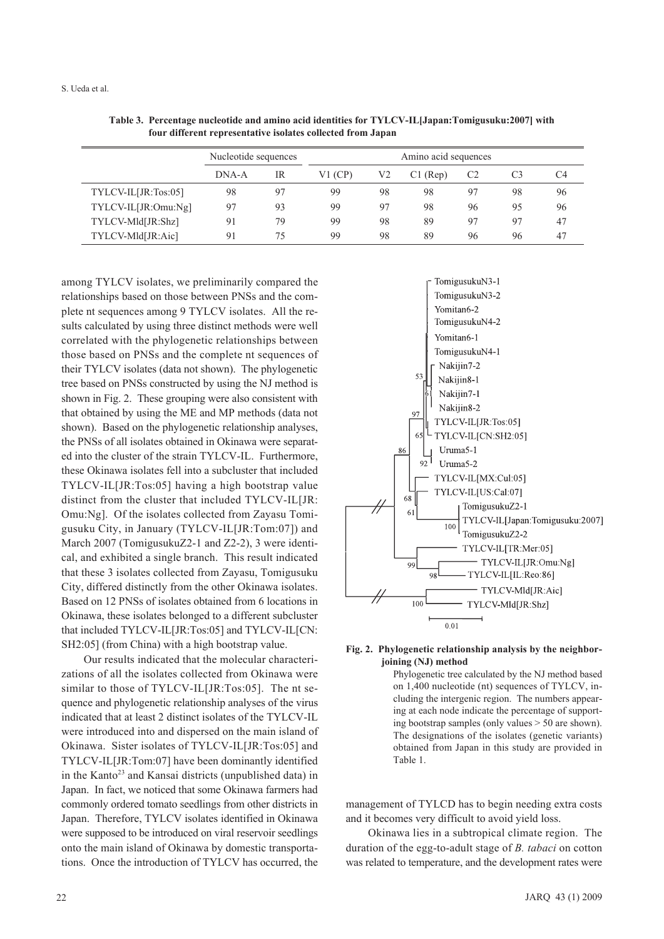#### S. Ueda et al.

|                     | Nucleotide sequences |    | Amino acid sequences |    |       |    |    |    |
|---------------------|----------------------|----|----------------------|----|-------|----|----|----|
|                     | DNA-A                | IR | $V1$ (CP)            | V2 | (Rep) | C2 | C3 | C4 |
| TYLCV-IL[JR:Tos:05] | 98                   | 97 | 99                   | 98 | 98    | 97 | 98 | 96 |
| TYLCV-IL[JR:Omu:Ng] | 97                   | 93 | 99                   | 97 | 98    | 96 | 95 | 96 |
| TYLCV-Mld[JR:Shz]   | 91                   | 79 | 99                   | 98 | 89    | 97 | 97 | 47 |
| TYLCV-Mld[JR:Aic]   | 91                   | 75 | 99                   | 98 | 89    | 96 | 96 | 47 |

**Table 3. Percentage nucleotide and amino acid identities for TYLCV-IL[Japan:Tomigusuku:2007] with four different representative isolates collected from Japan**

among TYLCV isolates, we preliminarily compared the relationships based on those between PNSs and the complete nt sequences among 9 TYLCV isolates. All the results calculated by using three distinct methods were well correlated with the phylogenetic relationships between those based on PNSs and the complete nt sequences of their TYLCV isolates (data not shown). The phylogenetic tree based on PNSs constructed by using the NJ method is shown in Fig. 2. These grouping were also consistent with that obtained by using the ME and MP methods (data not shown). Based on the phylogenetic relationship analyses, the PNSs of all isolates obtained in Okinawa were separated into the cluster of the strain TYLCV-IL. Furthermore, these Okinawa isolates fell into a subcluster that included TYLCV-IL[JR:Tos:05] having a high bootstrap value distinct from the cluster that included TYLCV-IL[JR: Omu:Ng]. Of the isolates collected from Zayasu Tomigusuku City, in January (TYLCV-IL[JR:Tom:07]) and March 2007 (TomigusukuZ2-1 and Z2-2), 3 were identical, and exhibited a single branch. This result indicated that these 3 isolates collected from Zayasu, Tomigusuku City, differed distinctly from the other Okinawa isolates. Based on 12 PNSs of isolates obtained from 6 locations in Okinawa, these isolates belonged to a different subcluster that included TYLCV-IL[JR:Tos:05] and TYLCV-IL[CN: SH2:05] (from China) with a high bootstrap value.

Our results indicated that the molecular characterizations of all the isolates collected from Okinawa were similar to those of TYLCV-IL[JR:Tos:05]. The nt sequence and phylogenetic relationship analyses of the virus indicated that at least 2 distinct isolates of the TYLCV-IL were introduced into and dispersed on the main island of Okinawa. Sister isolates of TYLCV-IL[JR:Tos:05] and TYLCV-IL[JR:Tom:07] have been dominantly identified in the Kanto<sup>23</sup> and Kansai districts (unpublished data) in Japan. In fact, we noticed that some Okinawa farmers had commonly ordered tomato seedlings from other districts in Japan. Therefore, TYLCV isolates identified in Okinawa were supposed to be introduced on viral reservoir seedlings onto the main island of Okinawa by domestic transportations. Once the introduction of TYLCV has occurred, the





Phylogenetic tree calculated by the NJ method based on 1,400 nucleotide (nt) sequences of TYLCV, including the intergenic region. The numbers appearing at each node indicate the percentage of supporting bootstrap samples (only values > 50 are shown). The designations of the isolates (genetic variants) obtained from Japan in this study are provided in Table 1.

management of TYLCD has to begin needing extra costs and it becomes very difficult to avoid yield loss.

Okinawa lies in a subtropical climate region. The duration of the egg-to-adult stage of *B. tabaci* on cotton was related to temperature, and the development rates were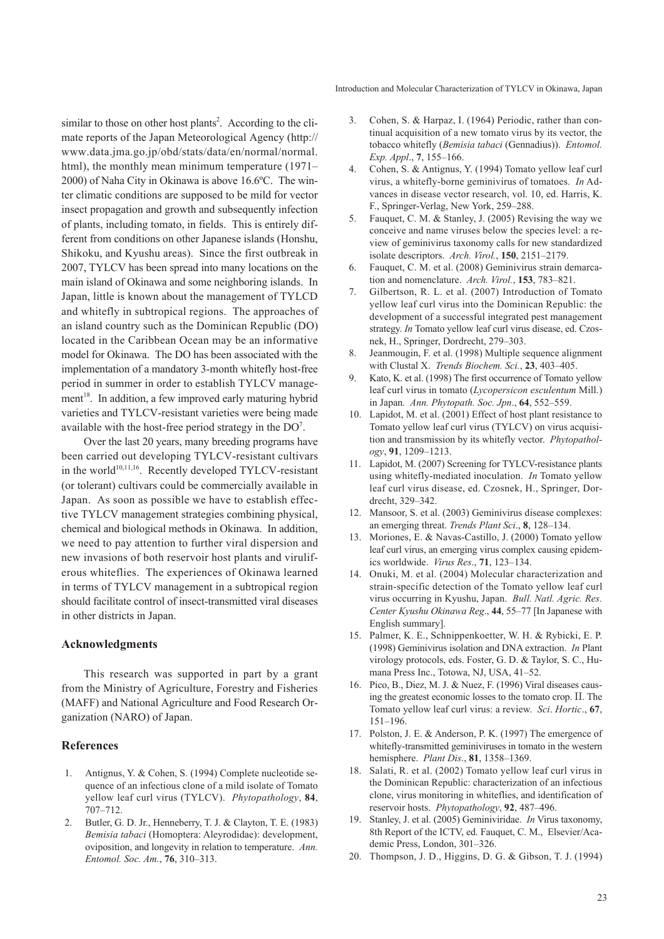Introduction and Molecular Characterization of TYLCV in Okinawa, Japan

similar to those on other host plants<sup>2</sup>. According to the climate reports of the Japan Meteorological Agency (http:// www.data.jma.go.jp/obd/stats/data/en/normal/normal. html), the monthly mean minimum temperature (1971– 2000) of Naha City in Okinawa is above 16.6ºC. The winter climatic conditions are supposed to be mild for vector insect propagation and growth and subsequently infection of plants, including tomato, in fields. This is entirely different from conditions on other Japanese islands (Honshu, Shikoku, and Kyushu areas). Since the first outbreak in 2007, TYLCV has been spread into many locations on the main island of Okinawa and some neighboring islands. In Japan, little is known about the management of TYLCD and whitefly in subtropical regions. The approaches of an island country such as the Dominican Republic (DO) located in the Caribbean Ocean may be an informative model for Okinawa. The DO has been associated with the implementation of a mandatory 3-month whitefly host-free period in summer in order to establish TYLCV management<sup>18</sup>. In addition, a few improved early maturing hybrid varieties and TYLCV-resistant varieties were being made available with the host-free period strategy in the  $DO<sup>7</sup>$ .

Over the last 20 years, many breeding programs have been carried out developing TYLCV-resistant cultivars in the world $10,11,16$ . Recently developed TYLCV-resistant (or tolerant) cultivars could be commercially available in Japan. As soon as possible we have to establish effective TYLCV management strategies combining physical, chemical and biological methods in Okinawa. In addition, we need to pay attention to further viral dispersion and new invasions of both reservoir host plants and viruliferous whiteflies. The experiences of Okinawa learned in terms of TYLCV management in a subtropical region should facilitate control of insect-transmitted viral diseases in other districts in Japan.

## **Acknowledgments**

This research was supported in part by a grant from the Ministry of Agriculture, Forestry and Fisheries (MAFF) and National Agriculture and Food Research Organization (NARO) of Japan.

# **References**

- 1. Antignus, Y. & Cohen, S. (1994) Complete nucleotide sequence of an infectious clone of a mild isolate of Tomato yellow leaf curl virus (TYLCV). *Phytopathology*, **84**, 707–712.
- 2. Butler, G. D. Jr., Henneberry, T. J. & Clayton, T. E. (1983) *Bemisia tabaci* (Homoptera: Aleyrodidae): development, oviposition, and longevity in relation to temperature. *Ann. Entomol. Soc. Am.*, **76**, 310–313.
- 3. Cohen, S. & Harpaz, I. (1964) Periodic, rather than continual acquisition of a new tomato virus by its vector, the tobacco whitefly (*Bemisia tabaci* (Gennadius)). *Entomol. Exp. Appl*., **7**, 155–166.
- 4. Cohen, S. & Antignus, Y. (1994) Tomato yellow leaf curl virus, a whitefly-borne geminivirus of tomatoes. *In* Advances in disease vector research, vol. 10, ed. Harris, K. F., Springer-Verlag, New York, 259–288.
- 5. Fauquet, C. M. & Stanley, J. (2005) Revising the way we conceive and name viruses below the species level: a review of geminivirus taxonomy calls for new standardized isolate descriptors. *Arch. Virol.*, **150**, 2151–2179.
- 6. Fauquet, C. M. et al. (2008) Geminivirus strain demarcation and nomenclature. *Arch. Virol.*, **153**, 783–821.
- 7. Gilbertson, R. L. et al. (2007) Introduction of Tomato yellow leaf curl virus into the Dominican Republic: the development of a successful integrated pest management strategy. *In* Tomato yellow leaf curl virus disease, ed. Czosnek, H., Springer, Dordrecht, 279–303.
- 8. Jeanmougin, F. et al. (1998) Multiple sequence alignment with Clustal X. *Trends Biochem. Sci.*, **23**, 403–405.
- 9. Kato, K. et al. (1998) The first occurrence of Tomato yellow leaf curl virus in tomato (*Lycopersicon esculentum* Mill.) in Japan. *Ann. Phytopath. Soc. Jpn*., **64**, 552–559.
- 10. Lapidot, M. et al. (2001) Effect of host plant resistance to Tomato yellow leaf curl virus (TYLCV) on virus acquisition and transmission by its whitefly vector. *Phytopathology*, **91**, 1209–1213.
- 11. Lapidot, M. (2007) Screening for TYLCV-resistance plants using whitefly-mediated inoculation. *In* Tomato yellow leaf curl virus disease, ed. Czosnek, H., Springer, Dordrecht, 329–342.
- 12. Mansoor, S. et al. (2003) Geminivirus disease complexes: an emerging threat. *Trends Plant Sci*., **8**, 128–134.
- 13. Moriones, E. & Navas-Castillo, J. (2000) Tomato yellow leaf curl virus, an emerging virus complex causing epidemics worldwide. *Virus Res*., **71**, 123–134.
- 14. Onuki, M. et al. (2004) Molecular characterization and strain-specific detection of the Tomato yellow leaf curl virus occurring in Kyushu, Japan. *Bull. Natl. Agric. Res. Center Kyushu Okinawa Reg*., **44**, 55–77 [In Japanese with English summary].
- 15. Palmer, K. E., Schnippenkoetter, W. H. & Rybicki, E. P. (1998) Geminivirus isolation and DNA extraction. *In* Plant virology protocols, eds. Foster, G. D. & Taylor, S. C., Humana Press Inc., Totowa, NJ, USA, 41–52.
- 16. Pico, B., Diez, M. J. & Nuez, F. (1996) Viral diseases causing the greatest economic losses to the tomato crop. **II**. The Tomato yellow leaf curl virus: a review. *Sci*. *Hortic*., **67**, 151–196.
- 17. Polston, J. E. & Anderson, P. K. (1997) The emergence of whitefly-transmitted geminiviruses in tomato in the western hemisphere. *Plant Dis*., **81**, 1358–1369.
- 18. Salati, R. et al. (2002) Tomato yellow leaf curl virus in the Dominican Republic: characterization of an infectious clone, virus monitoring in whiteflies, and identification of reservoir hosts. *Phytopathology*, **92**, 487–496.
- 19. Stanley, J. et al. (2005) Geminiviridae. *In* Virus taxonomy, 8th Report of the ICTV, ed. Fauquet, C. M., Elsevier/Academic Press, London, 301–326.
- 20. Thompson, J. D., Higgins, D. G. & Gibson, T. J. (1994)